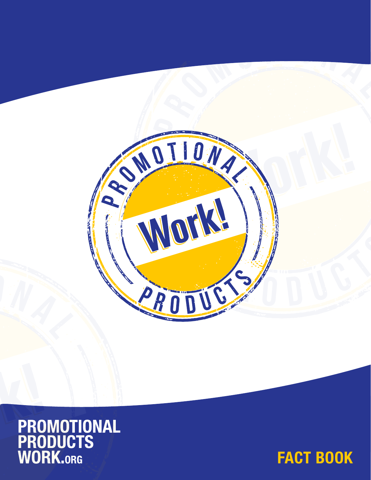



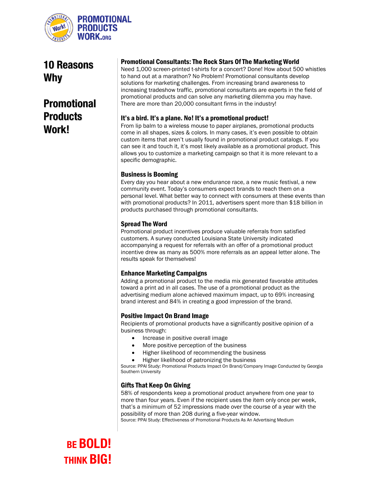

10 Reasons Why

## Promotional **Products** Work!

#### Promotional Consultants: The Rock Stars Of The Marketing World

Need 1,000 screen-printed t-shirts for a concert? Done! How about 500 whistles to hand out at a marathon? No Problem! Promotional consultants develop solutions for marketing challenges. From increasing brand awareness to increasing tradeshow traffic, promotional consultants are experts in the field of promotional products and can solve any marketing dilemma you may have. There are more than 20,000 consultant firms in the industry!

#### It's a bird. It's a plane. No! It's a promotional product!

From lip balm to a wireless mouse to paper airplanes, promotional products come in all shapes, sizes & colors. In many cases, it's even possible to obtain custom items that aren't usually found in promotional product catalogs. If you can see it and touch it, it's most likely available as a promotional product. This allows you to customize a marketing campaign so that it is more relevant to a specific demographic.

#### Business is Booming

Every day you hear about a new endurance race, a new music festival, a new community event. Today's consumers expect brands to reach them on a personal level. What better way to connect with consumers at these events than with promotional products? In 2011, advertisers spent more than \$18 billion in products purchased through promotional consultants.

#### Spread The Word

Promotional product incentives produce valuable referrals from satisfied customers. A survey conducted Louisiana State University indicated accompanying a request for referrals with an offer of a promotional product incentive drew as many as 500% more referrals as an appeal letter alone. The results speak for themselves!

#### Enhance Marketing Campaigns

Adding a promotional product to the media mix generated favorable attitudes toward a print ad in all cases. The use of a promotional product as the advertising medium alone achieved maximum impact, up to 69% increasing brand interest and 84% in creating a good impression of the brand.

#### Positive Impact On Brand Image

Recipients of promotional products have a significantly positive opinion of a business through:

- Increase in positive overall image
- More positive perception of the business
- Higher likelihood of recommending the business
- Higher likelihood of patronizing the business

Source: PPAI Study: Promotional Products Impact On Brand/Company Image Conducted by Georgia Southern University

#### Gifts That Keep On Giving

58% of respondents keep a promotional product anywhere from one year to more than four years. Even if the recipient uses the item only once per week, that's a minimum of 52 impressions made over the course of a year with the possibility of more than 208 during a five-year window.

Source: PPAI Study: Effectiveness of Promotional Products As An Advertising Medium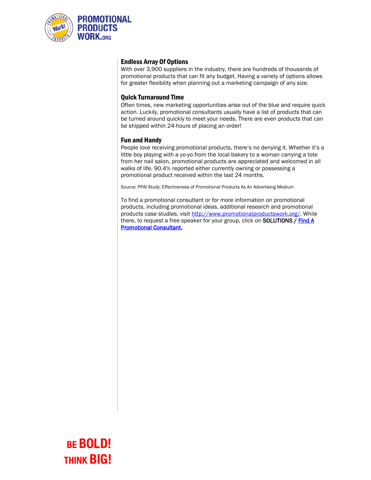

#### Endless Array Of Options

With over 3,900 suppliers in the industry, there are hundreds of thousands of promotional products that can fit any budget. Having a variety of options allows for greater flexibility when planning out a marketing campaign of any size.

#### Quick Turnaround Time

Often times, new marketing opportunities arise out of the blue and require quick action. Luckily, promotional consultants usually have a list of products that can be turned around quickly to meet your needs. There are even products that can be shipped within 24-hours of placing an order!

#### Fun and Handy

People love receiving promotional products, there's no denying it. Whether it's a little boy playing with a yo-yo from the local bakery to a woman carrying a tote from her nail salon, promotional products are appreciated and welcomed in all walks of life. 90.4% reported either currently owning or possessing a promotional product received within the last 24 months.

Source: PPAI Study: Effectiveness of Promotional Products As An Advertising Medium

To find a promotional consultant or for more information on promotional products, including promotional ideas, additional research and promotional products case studies, visit [http://www.promotionalproductswork.org/.](http://www.promotionalproductswork.org/) While there, to request a free speaker for your group, click on **SOLUTIONS** / Find A [Promotional Consultant.](http://www.promotionalproductswork.org/promotional-consultant-locator.aspx)

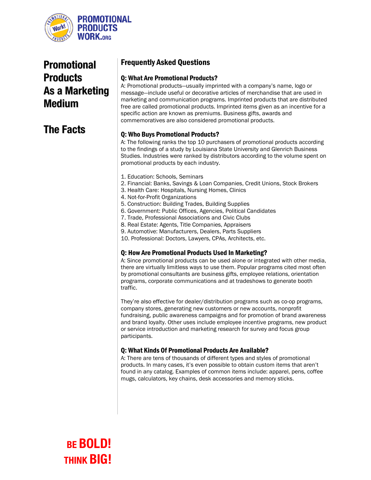

## Promotional **Products** As a Marketing Medium

### The Facts

### Frequently Asked Questions

#### Q: What Are Promotional Products?

A: Promotional products—usually imprinted with a company's name, logo or message—include useful or decorative articles of merchandise that are used in marketing and communication programs. Imprinted products that are distributed free are called promotional products. Imprinted items given as an incentive for a specific action are known as premiums. Business gifts, awards and commemoratives are also considered promotional products.

#### Q: Who Buys Promotional Products?

A: The following ranks the top 10 purchasers of promotional products according to the findings of a study by Louisiana State University and Glenrich Business Studies. Industries were ranked by distributors according to the volume spent on promotional products by each industry.

- 1. Education: Schools, Seminars
- 2. Financial: Banks, Savings & Loan Companies, Credit Unions, Stock Brokers
- 3. Health Care: Hospitals, Nursing Homes, Clinics
- 4. Not-for-Profit Organizations
- 5. Construction: Building Trades, Building Supplies
- 6. Government: Public Offices, Agencies, Political Candidates
- 7. Trade, Professional Associations and Civic Clubs
- 8. Real Estate: Agents, Title Companies, Appraisers
- 9. Automotive: Manufacturers, Dealers, Parts Suppliers
- 10. Professional: Doctors, Lawyers, CPAs, Architects, etc.

#### Q: How Are Promotional Products Used In Marketing?

A: Since promotional products can be used alone or integrated with other media, there are virtually limitless ways to use them. Popular programs cited most often by promotional consultants are business gifts, employee relations, orientation programs, corporate communications and at tradeshows to generate booth traffic.

They're also effective for dealer/distribution programs such as co-op programs, company stores, generating new customers or new accounts, nonprofit fundraising, public awareness campaigns and for promotion of brand awareness and brand loyalty. Other uses include employee incentive programs, new product or service introduction and marketing research for survey and focus group participants.

#### Q: What Kinds Of Promotional Products Are Available?

A: There are tens of thousands of different types and styles of promotional products. In many cases, it's even possible to obtain custom items that aren't found in any catalog. Examples of common items include: apparel, pens, coffee mugs, calculators, key chains, desk accessories and memory sticks.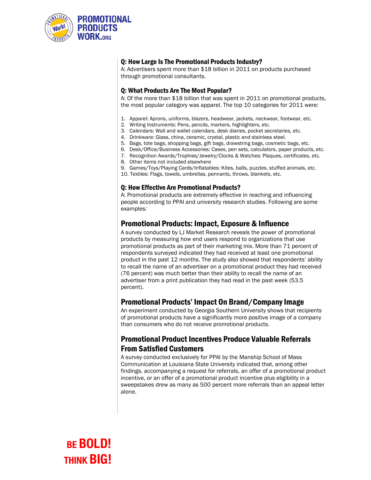

#### Q: How Large Is The Promotional Products Industry?

A: Advertisers spent more than \$18 billion in 2011 on products purchased through promotional consultants.

#### Q: What Products Are The Most Popular?

A: Of the more than \$18 billion that was spent in 2011 on promotional products, the most popular category was apparel. The top 10 categories for 2011 were:

- 1. Apparel: Aprons, uniforms, blazers, headwear, jackets, neckwear, footwear, etc.
- 2. Writing Instruments: Pens, pencils, markers, highlighters, etc.
- 3. Calendars: Wall and wallet calendars, desk diaries, pocket secretaries, etc.
- 4. Drinkware: Glass, china, ceramic, crystal, plastic and stainless steel.
- 5. Bags, tote bags, shopping bags, gift bags, drawstring bags, cosmetic bags, etc.
- 6. Desk/Office/Business Accessories: Cases, pen sets, calculators, paper products, etc.
- 7. Recognition Awards/Trophies/Jewelry/Clocks & Watches: Plaques, certificates, etc.
- 8. Other items not included elsewhere
- 9. Games/Toys/Playing Cards/Inflatables: Kites, balls, puzzles, stuffed animals, etc.
- 10. Textiles: Flags, towels, umbrellas, pennants, throws, blankets, etc.

#### Q: How Effective Are Promotional Products?

A: Promotional products are extremely effective in reaching and influencing people according to PPAI and university research studies. Following are some examples:

#### Promotional Products: Impact, Exposure & Influence

A survey conducted by LJ Market Research reveals the power of promotional products by measuring how end users respond to organizations that use promotional products as part of their marketing mix. More than 71 percent of respondents surveyed indicated they had received at least one promotional product in the past 12 months. The study also showed that respondents' ability to recall the name of an advertiser on a promotional product they had received (76 percent) was much better than their ability to recall the name of an advertiser from a print publication they had read in the past week (53.5 percent).

#### Promotional Products' Impact On Brand/Company Image

An experiment conducted by Georgia Southern University shows that recipients of promotional products have a significantly more positive image of a company than consumers who do not receive promotional products.

### Promotional Product Incentives Produce Valuable Referrals From Satisfied Customers

A survey conducted exclusively for PPAI by the Manship School of Mass Communication at Louisiana State University indicated that, among other findings, accompanying a request for referrals, an offer of a promotional product incentive, or an offer of a promotional product incentive plus eligibility in a sweepstakes drew as many as 500 percent more referrals than an appeal letter alone.

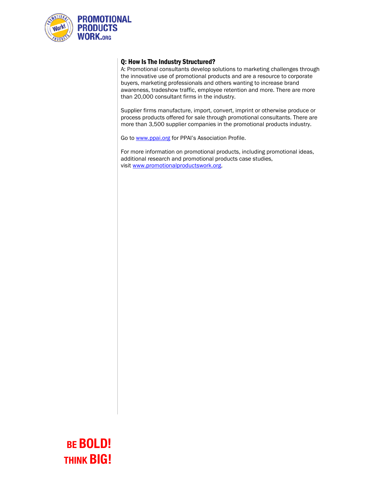

#### Q: How Is The Industry Structured?

A: Promotional consultants develop solutions to marketing challenges through the innovative use of promotional products and are a resource to corporate buyers, marketing professionals and others wanting to increase brand awareness, tradeshow traffic, employee retention and more. There are more than 20,000 consultant firms in the industry.

Supplier firms manufacture, import, convert, imprint or otherwise produce or process products offered for sale through promotional consultants. There are more than 3,500 supplier companies in the promotional products industry.

Go t[o www.ppai.org](http://www.ppai.org/) for PPAI's Association Profile.

For more information on promotional products, including promotional ideas, additional research and promotional products case studies, visit [www.promotionalproductswork.org.](http://www.promotionalproductswork.org/)

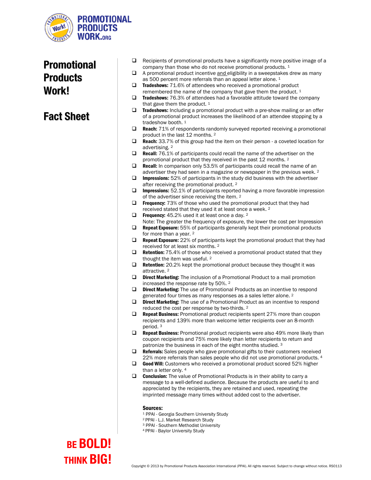

### Promotional **Products** Work!

### Fact Sheet

- $\Box$  Recipients of promotional products have a significantly more positive image of a company than those who do not receive promotional products. <sup>1</sup>
- $\Box$  A promotional product incentive and eligibility in a sweepstakes drew as many as 500 percent more referrals than an appeal letter alone. 1
- $\Box$  Tradeshows: 71.6% of attendees who received a promotional product remembered the name of the company that gave them the product.<sup>1</sup>
- $\square$  Tradeshows: 76.3% of attendees had a favorable attitude toward the company that gave them the product.  $1$
- $\Box$  Tradeshows: Including a promotional product with a pre-show mailing or an offer of a promotional product increases the likelihood of an attendee stopping by a tradeshow booth. 1
- **Reach:**  $71\%$  of respondents randomly surveyed reported receiving a promotional product in the last 12 months. <sup>2</sup>
- □ Reach: 33.7% of this group had the item on their person a coveted location for advertising. <sup>2</sup>
- $\Box$  **Recall:** 76.1% of participants could recall the name of the advertiser on the promotional product that they received in the past 12 months. <sup>2</sup>
- $\square$  Recall: In comparison only 53.5% of participants could recall the name of an advertiser they had seen in a magazine or newspaper in the previous week. <sup>2</sup>
- $\Box$  Impressions: 52% of participants in the study did business with the advertiser after receiving the promotional product. <sup>2</sup>
- Impressions: 52.1% of participants reported having a more favorable impression of the advertiser since receiving the item. <sup>2</sup>
- $\Box$  Frequency: 73% of those who used the promotional product that they had received stated that they used it at least once a week. 2
- $\Box$  Frequency: 45.2% used it at least once a day. 2
- Note: The greater the frequency of exposure, the lower the cost per Impression  $\Box$  **Repeat Exposure:** 55% of participants generally kept their promotional products
- for more than a year. <sup>2</sup>  $\Box$  **Repeat Exposure:** 22% of participants kept the promotional product that they had received for at least six months. 2
- $\Box$  Retention: 75.4% of those who received a promotional product stated that they thought the item was useful. <sup>2</sup>
- $\Box$  Retention: 20.2% kept the promotional product because they thought it was attractive. <sup>2</sup>
- D Direct Marketing: The inclusion of a Promotional Product to a mail promotion increased the response rate by 50%. <sup>2</sup>
- $\Box$  **Direct Marketing:** The use of Promotional Products as an incentive to respond generated four times as many responses as a sales letter alone. <sup>2</sup>
- $\Box$  **Direct Marketing:** The use of a Promotional Product as an incentive to respond reduced the cost per response by two-thirds. <sup>2</sup>
- **Repeat Business:** Promotional product recipients spent  $27\%$  more than coupon recipients and 139% more than welcome letter recipients over an 8-month period. <sup>3</sup>
- $\Box$  **Repeat Business:** Promotional product recipients were also 49% more likely than coupon recipients and 75% more likely than letter recipients to return and patronize the business in each of the eight months studied. <sup>3</sup>
- **Referrals:** Sales people who gave promotional gifts to their customers received 22% more referrals than sales people who did not use promotional products. 4
- Good Will: Customers who received a promotional product scored 52% higher than a letter only. 4
- $\Box$  **Conclusion:** The value of Promotional Products is in their ability to carry a message to a well-defined audience. Because the products are useful to and appreciated by the recipients, they are retained and used, repeating the imprinted message many times without added cost to the advertiser.

#### Sources:

- <sup>1</sup> PPAI Georgia Southern University Study
- 2 PPAI L.J. Market Research Study
- <sup>3</sup> PPAI Southern Methodist University
- 4 PPAI Baylor University Study